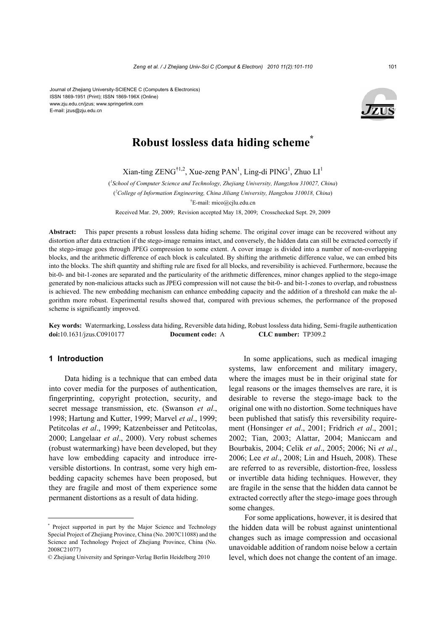Journal of Zhejiang University-SCIENCE C (Computers & Electronics) ISSN 1869-1951 (Print); ISSN 1869-196X (Online) www.zju.edu.cn/jzus; www.springerlink.com E-mail: jzus@zju.edu.cn



# **Robust lossless data hiding scheme\***

 $\text{Xian-ting ZENG}^{\dagger1,2}, \text{Xue-zeng PAN}^1, \text{Ling-di PING}^1, \text{Zhuo LI}^1$ 

( *1 School of Computer Science and Technology, Zhejiang University, Hangzhou 310027, China*) ( *2 College of Information Engineering, China Jiliang University, Hangzhou 310018, China*) † E-mail: mico@cjlu.edu.cn

Received Mar. 29, 2009; Revision accepted May 18, 2009; Crosschecked Sept. 29, 2009

**Abstract:** This paper presents a robust lossless data hiding scheme. The original cover image can be recovered without any distortion after data extraction if the stego-image remains intact, and conversely, the hidden data can still be extracted correctly if the stego-image goes through JPEG compression to some extent. A cover image is divided into a number of non-overlapping blocks, and the arithmetic difference of each block is calculated. By shifting the arithmetic difference value, we can embed bits into the blocks. The shift quantity and shifting rule are fixed for all blocks, and reversibility is achieved. Furthermore, because the bit-0- and bit-1-zones are separated and the particularity of the arithmetic differences, minor changes applied to the stego-image generated by non-malicious attacks such as JPEG compression will not cause the bit-0- and bit-1-zones to overlap, and robustness is achieved. The new embedding mechanism can enhance embedding capacity and the addition of a threshold can make the algorithm more robust. Experimental results showed that, compared with previous schemes, the performance of the proposed scheme is significantly improved.

**Key words:** Watermarking, Lossless data hiding, Reversible data hiding, Robust lossless data hiding, Semi-fragile authentication **doi:**10.1631/jzus.C0910177 **Document code:** A **CLC number:** TP309.2

# **1 Introduction**

Data hiding is a technique that can embed data into cover media for the purposes of authentication, fingerprinting, copyright protection, security, and secret message transmission, etc. (Swanson *et al*., 1998; Hartung and Kutter, 1999; Marvel *et al*., 1999; Petitcolas *et al*., 1999; Katzenbeisser and Petitcolas, 2000; Langelaar *et al*., 2000). Very robust schemes (robust watermarking) have been developed, but they have low embedding capacity and introduce irreversible distortions. In contrast, some very high embedding capacity schemes have been proposed, but they are fragile and most of them experience some permanent distortions as a result of data hiding.

In some applications, such as medical imaging systems, law enforcement and military imagery, where the images must be in their original state for legal reasons or the images themselves are rare, it is desirable to reverse the stego-image back to the original one with no distortion. Some techniques have been published that satisfy this reversibility requirement (Honsinger *et al*., 2001; Fridrich *et al*., 2001; 2002; Tian, 2003; Alattar, 2004; Maniccam and Bourbakis, 2004; Celik *et al*., 2005; 2006; Ni *et al*., 2006; Lee *et al*., 2008; Lin and Hsueh, 2008). These are referred to as reversible, distortion-free, lossless or invertible data hiding techniques. However, they are fragile in the sense that the hidden data cannot be extracted correctly after the stego-image goes through some changes.

For some applications, however, it is desired that the hidden data will be robust against unintentional changes such as image compression and occasional unavoidable addition of random noise below a certain level, which does not change the content of an image.

<sup>\*</sup> Project supported in part by the Major Science and Technology Special Project of Zhejiang Province, China (No. 2007C11088) and the Science and Technology Project of Zhejiang Province, China (No. 2008C21077)

<sup>©</sup> Zhejiang University and Springer-Verlag Berlin Heidelberg 2010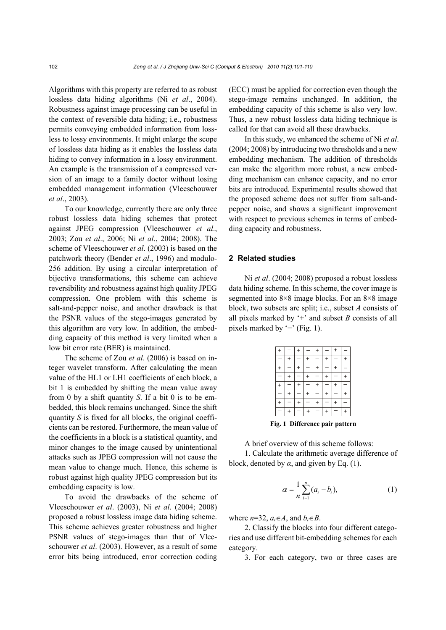Algorithms with this property are referred to as robust lossless data hiding algorithms (Ni *et al*., 2004). Robustness against image processing can be useful in the context of reversible data hiding; i.e., robustness permits conveying embedded information from lossless to lossy environments. It might enlarge the scope of lossless data hiding as it enables the lossless data hiding to convey information in a lossy environment. An example is the transmission of a compressed version of an image to a family doctor without losing embedded management information (Vleeschouwer *et al*., 2003).

To our knowledge, currently there are only three robust lossless data hiding schemes that protect against JPEG compression (Vleeschouwer *et al*., 2003; Zou *et al*., 2006; Ni *et al*., 2004; 2008). The scheme of Vleeschouwer *et al*. (2003) is based on the patchwork theory (Bender *et al*., 1996) and modulo-256 addition. By using a circular interpretation of bijective transformations, this scheme can achieve reversibility and robustness against high quality JPEG compression. One problem with this scheme is salt-and-pepper noise, and another drawback is that the PSNR values of the stego-images generated by this algorithm are very low. In addition, the embedding capacity of this method is very limited when a low bit error rate (BER) is maintained.

The scheme of Zou *et al*. (2006) is based on integer wavelet transform. After calculating the mean value of the HL1 or LH1 coefficients of each block, a bit 1 is embedded by shifting the mean value away from 0 by a shift quantity *S*. If a bit 0 is to be embedded, this block remains unchanged. Since the shift quantity *S* is fixed for all blocks, the original coefficients can be restored. Furthermore, the mean value of the coefficients in a block is a statistical quantity, and minor changes to the image caused by unintentional attacks such as JPEG compression will not cause the mean value to change much. Hence, this scheme is robust against high quality JPEG compression but its embedding capacity is low.

To avoid the drawbacks of the scheme of Vleeschouwer *et al*. (2003), Ni *et al*. (2004; 2008) proposed a robust lossless image data hiding scheme. This scheme achieves greater robustness and higher PSNR values of stego-images than that of Vleeschouwer *et al*. (2003). However, as a result of some error bits being introduced, error correction coding (ECC) must be applied for correction even though the stego-image remains unchanged. In addition, the embedding capacity of this scheme is also very low. Thus, a new robust lossless data hiding technique is called for that can avoid all these drawbacks.

In this study, we enhanced the scheme of Ni *et al*. (2004; 2008) by introducing two thresholds and a new embedding mechanism. The addition of thresholds can make the algorithm more robust, a new embedding mechanism can enhance capacity, and no error bits are introduced. Experimental results showed that the proposed scheme does not suffer from salt-andpepper noise, and shows a significant improvement with respect to previous schemes in terms of embedding capacity and robustness.

# **2 Related studies**

Ni *et al*. (2004; 2008) proposed a robust lossless data hiding scheme. In this scheme, the cover image is segmented into 8×8 image blocks. For an 8×8 image block, two subsets are split; i.e., subset *A* consists of all pixels marked by  $+$  and subset *B* consists of all pixels marked by '<sup>−</sup>' (Fig. 1).

**Fig. 1 Difference pair pattern**

A brief overview of this scheme follows:

1. Calculate the arithmetic average difference of block, denoted by  $\alpha$ , and given by Eq. (1).

$$
\alpha = \frac{1}{n} \sum_{i=1}^{n} (a_i - b_i),
$$
 (1)

where  $n=32$ ,  $a_i \in A$ , and  $b_i \in B$ .

2. Classify the blocks into four different categories and use different bit-embedding schemes for each category.

3. For each category, two or three cases are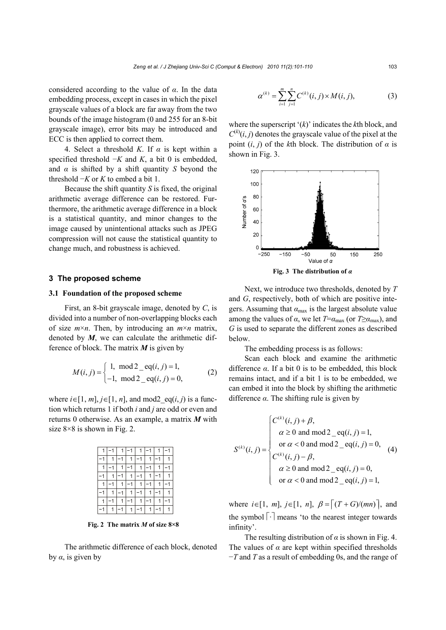considered according to the value of *α*. In the data embedding process, except in cases in which the pixel grayscale values of a block are far away from the two bounds of the image histogram (0 and 255 for an 8-bit grayscale image), error bits may be introduced and ECC is then applied to correct them.

4. Select a threshold *K*. If *α* is kept within a specified threshold −*K* and *K*, a bit 0 is embedded, and  $\alpha$  is shifted by a shift quantity *S* beyond the threshold −*K* or *K* to embed a bit 1.

Because the shift quantity *S* is fixed, the original arithmetic average difference can be restored. Furthermore, the arithmetic average difference in a block is a statistical quantity, and minor changes to the image caused by unintentional attacks such as JPEG compression will not cause the statistical quantity to change much, and robustness is achieved.

#### **3 The proposed scheme**

## **3.1 Foundation of the proposed scheme**

First, an 8-bit grayscale image, denoted by *C*, is divided into a number of non-overlapping blocks each of size *m*×*n*. Then, by introducing an *m*×*n* matrix, denoted by *M*, we can calculate the arithmetic difference of block. The matrix *M* is given by

1, mod 2 \_ eq( , ) 1, (, ) 1, mod 2 \_ eq( , ) 0, *i j Mij i j* <sup>⎧</sup> <sup>=</sup> <sup>=</sup> <sup>⎨</sup> ⎩− = (2)

where  $i \in [1, m], j \in [1, n]$ , and mod2  $eq(i, j)$  is a function which returns 1 if both *i* and *j* are odd or even and returns 0 otherwise. As an example, a matrix *M* with size  $8\times 8$  is shown in Fig. 2.

**Fig. 2 The matrix** *M* **of size 8×8** 

The arithmetic difference of each block, denoted by *α*, is given by

$$
\alpha^{(k)} = \sum_{i=1}^{m} \sum_{j=1}^{n} C^{(k)}(i, j) \times M(i, j), \tag{3}
$$

where the superscript '(*k*)' indicates the *k*th block, and  $C^{(k)}(i, j)$  denotes the grayscale value of the pixel at the point  $(i, j)$  of the *k*th block. The distribution of  $\alpha$  is shown in Fig. 3.



**Fig. 3 The distribution of** *α*

Next, we introduce two thresholds, denoted by *T* and *G*, respectively, both of which are positive integers. Assuming that  $\alpha_{\text{max}}$  is the largest absolute value among the values of  $\alpha$ , we let  $T=\alpha_{\text{max}}$  (or  $T\geq\alpha_{\text{max}}$ ), and *G* is used to separate the different zones as described below.

The embedding process is as follows:

Scan each block and examine the arithmetic difference *α*. If a bit 0 is to be embedded, this block remains intact, and if a bit 1 is to be embedded, we can embed it into the block by shifting the arithmetic difference  $\alpha$ . The shifting rule is given by

( ) ( ) ( ) (, ) , 0 and mod 2 \_ eq( , ) 1, or 0 and mod 2 \_ eq( , ) 0, (, ) (, ) , 0 and mod 2 \_ eq( , ) 0, or 0 and mod 2 \_ eq( , ) 1, *k k k C ij i j i j S ij C ij i j i j* β α α β α α <sup>⎧</sup> <sup>+</sup> <sup>⎪</sup> ≥ = <sup>⎪</sup> ⎪⎪ <sup>&</sup>lt; <sup>=</sup> <sup>=</sup> <sup>⎨</sup> ⎪ − <sup>⎪</sup> ≥ = <sup>⎪</sup> ⎪⎩ < = (4)

where  $i \in [1, m], j \in [1, n], \beta = [(T + G)/(mn)],$  and the symbol  $\lceil \cdot \rceil$  means 'to the nearest integer towards infinity'.

The resulting distribution of  $\alpha$  is shown in Fig. 4. The values of  $\alpha$  are kept within specified thresholds −*T* and *T* as a result of embedding 0s, and the range of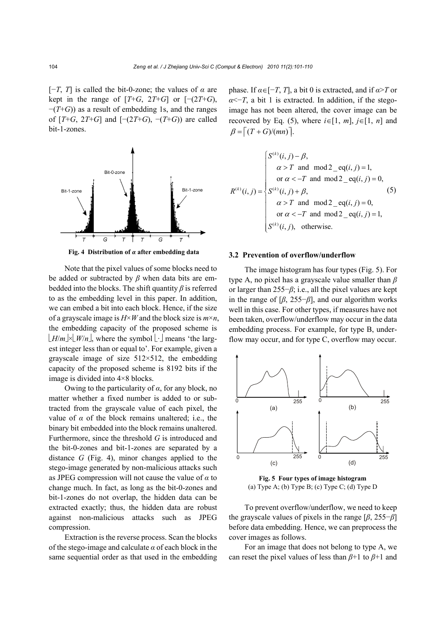$[-T, T]$  is called the bit-0-zone; the values of  $\alpha$  are kept in the range of  $[T+G, 2T+G]$  or  $[-(2T+G),$ −(*T*+*G*)) as a result of embedding 1s, and the ranges of  $[T+G, 2T+G]$  and  $[-(2T+G), -(T+G)]$  are called bit-1-zones.



**Fig. 4 Distribution of** *α* **after embedding data** 

Note that the pixel values of some blocks need to be added or subtracted by *β* when data bits are embedded into the blocks. The shift quantity *β* is referred to as the embedding level in this paper. In addition, we can embed a bit into each block. Hence, if the size of a grayscale image is *H*×*W* and the block size is *m*×*n*, the embedding capacity of the proposed scheme is  $\lfloor H/m \rfloor \times \lfloor W/n \rfloor$ , where the symbol  $\lfloor \cdot \rfloor$  means 'the largest integer less than or equal to'. For example, given a grayscale image of size  $512 \times 512$ , the embedding capacity of the proposed scheme is 8192 bits if the image is divided into 4×8 blocks.

Owing to the particularity of  $\alpha$ , for any block, no matter whether a fixed number is added to or subtracted from the grayscale value of each pixel, the value of  $\alpha$  of the block remains unaltered; i.e., the binary bit embedded into the block remains unaltered. Furthermore, since the threshold *G* is introduced and the bit-0-zones and bit-1-zones are separated by a distance *G* (Fig. 4), minor changes applied to the stego-image generated by non-malicious attacks such as JPEG compression will not cause the value of *α* to change much. In fact, as long as the bit-0-zones and bit-1-zones do not overlap, the hidden data can be extracted exactly; thus, the hidden data are robust against non-malicious attacks such as JPEG compression.

Extraction is the reverse process. Scan the blocks of the stego-image and calculate *α* of each block in the same sequential order as that used in the embedding phase. If  $\alpha \in [-T, T]$ , a bit 0 is extracted, and if  $\alpha > T$  or  $\alpha$ <sup>< $\alpha$ </sup>, a bit 1 is extracted. In addition, if the stegoimage has not been altered, the cover image can be recovered by Eq. (5), where  $i \in [1, m]$ ,  $j \in [1, n]$  and  $\beta = \lceil (T + G)/(mn) \rceil$ .

( ) () () ( ) (, ) , and mod 2 \_ eq( , ) 1, or and mod 2 \_ eq( , ) 0, (, ) (, ) , and mod 2 \_ eq( , ) 0, or and mod 2 \_ eq( , ) 1, ( , ), otherwise. *k k k k S ij T ij T ij R ij S ij T ij T ij S ij* β α α β α α <sup>⎧</sup> <sup>−</sup> <sup>⎪</sup> > = <sup>⎪</sup> <sup>⎪</sup> <sup>&</sup>lt; − = ⎪⎪ = + <sup>⎨</sup> <sup>⎪</sup> > = <sup>⎪</sup> <sup>⎪</sup> <sup>&</sup>lt; − = <sup>⎪</sup> ⎪⎩ (5)

## **3.2 Prevention of overflow/underflow**

The image histogram has four types (Fig. 5). For type A, no pixel has a grayscale value smaller than *β* or larger than 255−*β*; i.e., all the pixel values are kept in the range of  $[\beta, 255-\beta]$ , and our algorithm works well in this case. For other types, if measures have not been taken, overflow/underflow may occur in the data embedding process. For example, for type B, underflow may occur, and for type C, overflow may occur.



**Fig. 5 Four types of image histogram**  (a) Type A; (b) Type B; (c) Type C; (d) Type D

To prevent overflow/underflow, we need to keep the grayscale values of pixels in the range [*β*, 255−*β*] before data embedding. Hence, we can preprocess the cover images as follows.

For an image that does not belong to type A, we can reset the pixel values of less than *β*+1 to *β*+1 and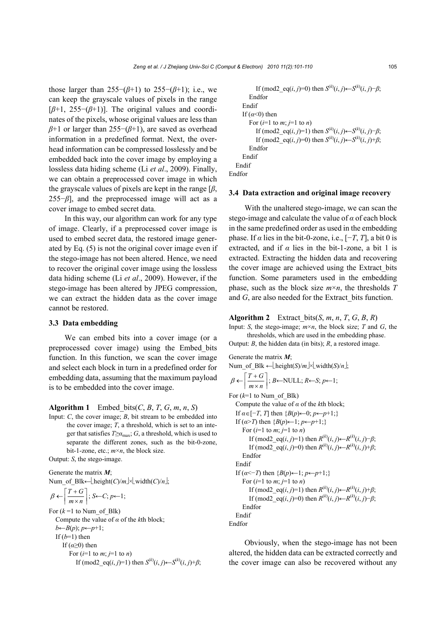those larger than  $255-(\beta+1)$  to  $255-(\beta+1)$ ; i.e., we can keep the grayscale values of pixels in the range [*β*+1, 255−(*β*+1)]. The original values and coordinates of the pixels, whose original values are less than *β*+1 or larger than 255−(*β*+1), are saved as overhead information in a predefined format. Next, the overhead information can be compressed losslessly and be embedded back into the cover image by employing a lossless data hiding scheme (Li *et al*., 2009). Finally, we can obtain a preprocessed cover image in which the grayscale values of pixels are kept in the range [*β*, 255−*β*], and the preprocessed image will act as a cover image to embed secret data.

In this way, our algorithm can work for any type of image. Clearly, if a preprocessed cover image is used to embed secret data, the restored image generated by Eq. (5) is not the original cover image even if the stego-image has not been altered. Hence, we need to recover the original cover image using the lossless data hiding scheme (Li *et al*., 2009). However, if the stego-image has been altered by JPEG compression, we can extract the hidden data as the cover image cannot be restored.

## **3.3 Data embedding**

We can embed bits into a cover image (or a preprocessed cover image) using the Embed\_bits function. In this function, we scan the cover image and select each block in turn in a predefined order for embedding data, assuming that the maximum payload is to be embedded into the cover image.

**Algorithm 1** Embed bits( $C$ ,  $B$ ,  $T$ ,  $G$ ,  $m$ ,  $n$ ,  $S$ )

Input: *C*, the cover image; *B*, bit stream to be embedded into the cover image; *T*, a threshold, which is set to an integer that satisfies  $T \ge a_{\text{max}}$ ; *G*, a threshold, which is used to separate the different zones, such as the bit-0-zone, bit-1-zone, etc.; *m*×*n*, the block size.

Output: *S*, the stego-image.

Generate the matrix *M*; Num\_of\_Blk← $\left[\text{height}(C)/m\right] \times \left[\text{width}(C)/n\right];$  $\beta \leftarrow \left\lceil \frac{T+G}{m \times n} \right\rceil; S \leftarrow C; p \leftarrow 1;$ For  $(k=1$  to Num\_of\_Blk) Compute the value of *α* of the *k*th block;  $b \leftarrow B(p)$ ;  $p \leftarrow p+1$ ; If  $(b=1)$  then If  $(a \geq 0)$  then For  $(i=1$  to  $m: i=1$  to  $n$ )

If 
$$
(\text{mod2\_eq}(i, j)=1)
$$
 then  $S^{(k)}(i, j) \leftarrow S^{(k)}(i, j) + \beta;$ 

```
If (mod2 eq(i, j)=0) then S<sup>(k)</sup>(i, j)←S<sup>(k)</sup>(i, j)−β;
         Endfor 
      Endif 
      If (a<0) then
         For (i=1 to m; j=1 to n)If (mod2 eq(i, j)=1) then S^{(k)}(i, j) \leftarrow S^{(k)}(i, j) - \beta;
              If (mod2_eq(i, j)=0) then S<sup>(k</sup>)(i, j)←S<sup>(k</sup>)(i, j)+β;
         Endfor 
      Endif 
   Endif 
Endfor
```
# **3.4 Data extraction and original image recovery**

With the unaltered stego-image, we can scan the stego-image and calculate the value of *α* of each block in the same predefined order as used in the embedding phase. If  $\alpha$  lies in the bit-0-zone, i.e.,  $[-T, T]$ , a bit 0 is extracted, and if  $\alpha$  lies in the bit-1-zone, a bit 1 is extracted. Extracting the hidden data and recovering the cover image are achieved using the Extract\_bits function. Some parameters used in the embedding phase, such as the block size *m*×*n*, the thresholds *T* and *G*, are also needed for the Extract bits function.

**Algorithm 2** Extract bits( $S$ ,  $m$ ,  $n$ ,  $T$ ,  $G$ ,  $B$ ,  $R$ )

Input: *S*, the stego-image;  $m \times n$ , the block size; *T* and *G*, the thresholds, which are used in the embedding phase.

Output: *B*, the hidden data (in bits); *R*, a restored image.

Generate the matrix *M*;

Num\_ofBlk ← height(S)/m|×|width(S)/n];  

$$
= 5 - 2m
$$

$$
\beta \leftarrow \left\lceil \frac{T+G}{m \times n} \right\rceil; B \leftarrow \text{NULL}; R \leftarrow S; p \leftarrow 1;
$$

For  $(k=1$  to Num of Blk) Compute the value of *α* of the *k*th block; If  $\alpha \in [-T, T]$  then  $\{B(p) \leftarrow 0; p \leftarrow p+1; \}$ If  $(a > T)$  then  ${B(p) \leftarrow 1; p \leftarrow p+1;}$ For  $(i=1$  to  $m; j=1$  to  $n)$ If (mod2\_eq(*i*, *j*)=1) then  $R^{(k)}(i, j)$ ← $R^{(k)}(i, j)$ − $\beta$ ; If (mod2 eq(*i*, *j*)=0) then  $R^{(k)}(i, j)$ ← $R^{(k)}(i, j)$ + $\beta$ ; Endfor Endif If  $(a \leq T)$  then  ${B(p) \leftarrow 1; p \leftarrow p+1;}$ For  $(i=1$  to  $m$ ;  $j=1$  to  $n$ ) If (mod2\_eq(*i*, *j*)=1) then  $R^{(k)}(i, j)$ ← $R^{(k)}(i, j)$ + $\beta$ ; If (mod2 eq(*i*, *j*)=0) then  $R^{(k)}(i, j)$ ← $R^{(k)}(i, j)$ − $\beta$ ; Endfor Endif Endfor

Obviously, when the stego-image has not been altered, the hidden data can be extracted correctly and the cover image can also be recovered without any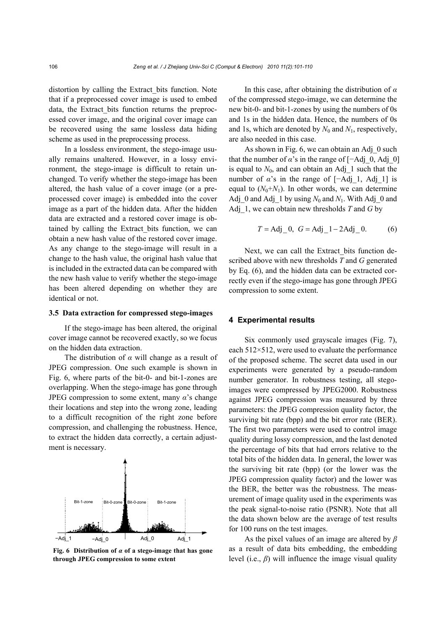distortion by calling the Extract\_bits function. Note that if a preprocessed cover image is used to embed data, the Extract bits function returns the preprocessed cover image, and the original cover image can be recovered using the same lossless data hiding scheme as used in the preprocessing process.

In a lossless environment, the stego-image usually remains unaltered. However, in a lossy environment, the stego-image is difficult to retain unchanged. To verify whether the stego-image has been altered, the hash value of a cover image (or a preprocessed cover image) is embedded into the cover image as a part of the hidden data. After the hidden data are extracted and a restored cover image is obtained by calling the Extract\_bits function, we can obtain a new hash value of the restored cover image. As any change to the stego-image will result in a change to the hash value, the original hash value that is included in the extracted data can be compared with the new hash value to verify whether the stego-image has been altered depending on whether they are identical or not.

#### **3.5 Data extraction for compressed stego-images**

If the stego-image has been altered, the original cover image cannot be recovered exactly, so we focus on the hidden data extraction.

The distribution of *α* will change as a result of JPEG compression. One such example is shown in Fig. 6, where parts of the bit-0- and bit-1-zones are overlapping. When the stego-image has gone through JPEG compression to some extent, many  $\alpha$ 's change their locations and step into the wrong zone, leading to a difficult recognition of the right zone before compression, and challenging the robustness. Hence, to extract the hidden data correctly, a certain adjustment is necessary.



**Fig. 6 Distribution of** *α* **of a stego-image that has gone through JPEG compression to some extent** 

In this case, after obtaining the distribution of *α* of the compressed stego-image, we can determine the new bit-0- and bit-1-zones by using the numbers of 0s and 1s in the hidden data. Hence, the numbers of 0s and 1s, which are denoted by  $N_0$  and  $N_1$ , respectively, are also needed in this case.

As shown in Fig. 6, we can obtain an Adj\_0 such that the number of  $\alpha$ 's in the range of  $[-Adj, 0, Adj, 0]$ is equal to  $N_0$ , and can obtain an Adj 1 such that the number of  $\alpha$ 's in the range of [−Adj\_1, Adj\_1] is equal to  $(N_0+N_1)$ . In other words, we can determine Adj\_0 and Adj\_1 by using  $N_0$  and  $N_1$ . With Adj\_0 and Adj\_1, we can obtain new thresholds *T* and *G* by

$$
T = Adj_0
$$
,  $G = Adj_1 - 2Adj_0$ . (6)

Next, we can call the Extract bits function described above with new thresholds *T* and *G* generated by Eq. (6), and the hidden data can be extracted correctly even if the stego-image has gone through JPEG compression to some extent.

## **4 Experimental results**

Six commonly used grayscale images (Fig. 7), each 512×512, were used to evaluate the performance of the proposed scheme. The secret data used in our experiments were generated by a pseudo-random number generator. In robustness testing, all stegoimages were compressed by JPEG2000. Robustness against JPEG compression was measured by three parameters: the JPEG compression quality factor, the surviving bit rate (bpp) and the bit error rate (BER). The first two parameters were used to control image quality during lossy compression, and the last denoted the percentage of bits that had errors relative to the total bits of the hidden data. In general, the lower was the surviving bit rate (bpp) (or the lower was the JPEG compression quality factor) and the lower was the BER, the better was the robustness. The measurement of image quality used in the experiments was the peak signal-to-noise ratio (PSNR). Note that all the data shown below are the average of test results for 100 runs on the test images.

As the pixel values of an image are altered by *β* as a result of data bits embedding, the embedding level (i.e.,  $\beta$ ) will influence the image visual quality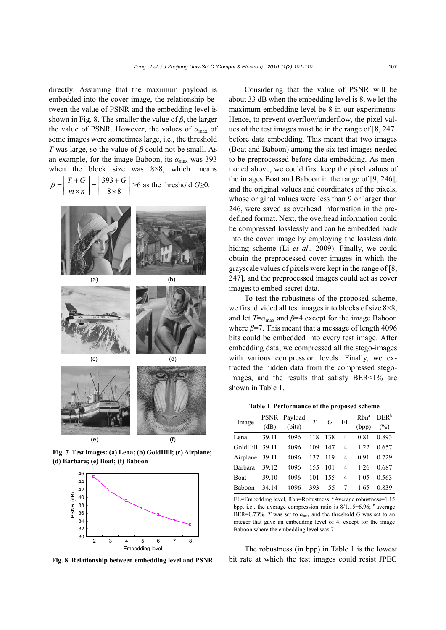directly. Assuming that the maximum payload is embedded into the cover image, the relationship between the value of PSNR and the embedding level is shown in Fig. 8. The smaller the value of *β*, the larger the value of PSNR. However, the values of  $\alpha_{\text{max}}$  of some images were sometimes large, i.e., the threshold *T* was large, so the value of *β* could not be small. As an example, for the image Baboon, its *α*max was 393 when the block size was  $8\times 8$ , which means 393  $8 \times 8$  $\beta = \left\lceil \frac{T+G}{m \times n} \right\rceil = \left\lceil \frac{393+G}{8 \times 8} \right\rceil$  $m \times n$ >6 as the threshold *G*≥0.



**Fig. 7 Test images: (a) Lena; (b) GoldHill; (c) Airplane; (d) Barbara; (e) Boat; (f) Baboon** 



**Fig. 8 Relationship between embedding level and PSNR**

Considering that the value of PSNR will be about 33 dB when the embedding level is 8, we let the maximum embedding level be 8 in our experiments. Hence, to prevent overflow/underflow, the pixel values of the test images must be in the range of [8, 247] before data embedding. This meant that two images (Boat and Baboon) among the six test images needed to be preprocessed before data embedding. As mentioned above, we could first keep the pixel values of the images Boat and Baboon in the range of [9, 246], and the original values and coordinates of the pixels, whose original values were less than 9 or larger than 246, were saved as overhead information in the predefined format. Next, the overhead information could be compressed losslessly and can be embedded back into the cover image by employing the lossless data hiding scheme (Li *et al*., 2009). Finally, we could obtain the preprocessed cover images in which the grayscale values of pixels were kept in the range of [8, 247], and the preprocessed images could act as cover images to embed secret data.

To test the robustness of the proposed scheme, we first divided all test images into blocks of size  $8\times8$ , and let  $T=\alpha_{\text{max}}$  and  $\beta=4$  except for the image Baboon where  $\beta$ =7. This meant that a message of length 4096 bits could be embedded into every test image. After embedding data, we compressed all the stego-images with various compression levels. Finally, we extracted the hidden data from the compressed stegoimages, and the results that satisfy BER<1% are shown in Table 1.

**Table 1 Performance of the proposed scheme** 

| Image          |       | PSNR Payload |     | G   | EL             |       | Rbn <sup>a</sup> BER <sup>b</sup> |
|----------------|-------|--------------|-----|-----|----------------|-------|-----------------------------------|
|                | (dB)  | (bits)       |     |     |                | (bpp) | $(\% )$                           |
| Lena           | 39.11 | 4096         | 118 | 138 | 4              | 0.81  | 0.893                             |
| GoldHill       | 39.11 | 4096         | 109 | 147 | 4              | 1.22  | 0.657                             |
| Airplane 39.11 |       | 4096         | 137 | 119 | $\overline{4}$ | 0.91  | 0.729                             |
| Barbara        | 39.12 | 4096         | 155 | 101 | 4              | 1.26  | 0.687                             |
| Boat           | 39.10 | 4096         | 101 | 155 | 4              | 1.05  | 0.563                             |
| <b>Baboon</b>  | 34.14 | 4096         | 393 | 55  | 7              | 1.65  | 0.839                             |
|                |       |              |     |     |                |       |                                   |

EL=Embedding level, Rbn=Robustness. <sup>a</sup> Average robustness=1.15 bpp, i.e., the average compression ratio is  $8/1.15=6.96$ ; <sup>b</sup> average BER=0.73%. *T* was set to  $\alpha_{\text{max}}$  and the threshold *G* was set to an integer that gave an embedding level of 4, except for the image Baboon where the embedding level was 7

The robustness (in bpp) in Table 1 is the lowest bit rate at which the test images could resist JPEG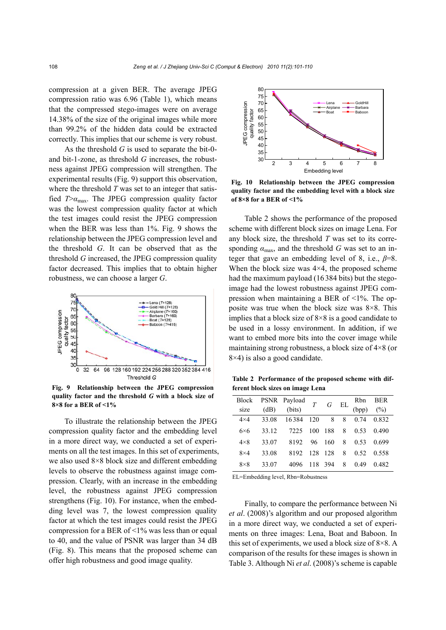compression at a given BER. The average JPEG compression ratio was 6.96 (Table 1), which means that the compressed stego-images were on average 14.38% of the size of the original images while more than 99.2% of the hidden data could be extracted correctly. This implies that our scheme is very robust.

As the threshold *G* is used to separate the bit-0 and bit-1-zone, as threshold *G* increases, the robustness against JPEG compression will strengthen. The experimental results (Fig. 9) support this observation, where the threshold *T* was set to an integer that satisfied  $T > a_{\text{max}}$ . The JPEG compression quality factor was the lowest compression quality factor at which the test images could resist the JPEG compression when the BER was less than 1%. Fig. 9 shows the relationship between the JPEG compression level and the threshold *G*. It can be observed that as the threshold *G* increased, the JPEG compression quality factor decreased. This implies that to obtain higher robustness, we can choose a larger *G*.



**Fig. 9 Relationship between the JPEG compression quality factor and the threshold** *G* **with a block size of 8×8 for a BER of <1%** 

To illustrate the relationship between the JPEG compression quality factor and the embedding level in a more direct way, we conducted a set of experiments on all the test images. In this set of experiments, we also used 8×8 block size and different embedding levels to observe the robustness against image compression. Clearly, with an increase in the embedding level, the robustness against JPEG compression strengthens (Fig. 10). For instance, when the embedding level was 7, the lowest compression quality factor at which the test images could resist the JPEG compression for a BER of  $\leq$ 1% was less than or equal to 40, and the value of PSNR was larger than 34 dB (Fig. 8). This means that the proposed scheme can offer high robustness and good image quality.



**Fig. 10 Relationship between the JPEG compression quality factor and the embedding level with a block size of 8×8 for a BER of <1%** 

Table 2 shows the performance of the proposed scheme with different block sizes on image Lena. For any block size, the threshold *T* was set to its corresponding  $\alpha_{\text{max}}$ , and the threshold *G* was set to an integer that gave an embedding level of 8, i.e., *β*=8. When the block size was  $4\times4$ , the proposed scheme had the maximum payload (16384 bits) but the stegoimage had the lowest robustness against JPEG compression when maintaining a BER of <1%. The opposite was true when the block size was 8×8. This implies that a block size of  $8\times 8$  is a good candidate to be used in a lossy environment. In addition, if we want to embed more bits into the cover image while maintaining strong robustness, a block size of 4×8 (or  $8\times4$ ) is also a good candidate.

**Table 2 Performance of the proposed scheme with different block sizes on image Lena** 

|             |       | Block PSNR Payload $T$ G EL Rbn BER<br>size (dB) (bits) $T$ G EL (bpp) (%) |  |                           |  |
|-------------|-------|----------------------------------------------------------------------------|--|---------------------------|--|
|             |       | $4 \times 4$ 33.08 16384 120 8 8 0.74 0.832                                |  |                           |  |
| $6\times 6$ |       | 33.12 7225 100 188 8 0.53 0.490                                            |  |                           |  |
| $4\times8$  |       | 33.07 8192 96 160 8 0.53 0.699                                             |  |                           |  |
| $8\times4$  | 33.08 |                                                                            |  | 8192 128 128 8 0.52 0.558 |  |
| $8\times8$  | 33.07 |                                                                            |  | 4096 118 394 8 0.49 0.482 |  |

EL=Embedding level, Rbn=Robustness

Finally, to compare the performance between Ni *et al*. (2008)'s algorithm and our proposed algorithm in a more direct way, we conducted a set of experiments on three images: Lena, Boat and Baboon. In this set of experiments, we used a block size of  $8\times8$ . A comparison of the results for these images is shown in Table 3. Although Ni *et al*. (2008)'s scheme is capable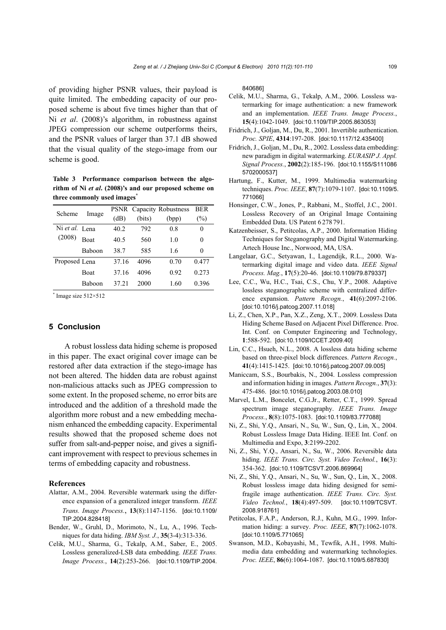of providing higher PSNR values, their payload is quite limited. The embedding capacity of our proposed scheme is about five times higher than that of Ni *et al*. (2008)'s algorithm, in robustness against JPEG compression our scheme outperforms theirs, and the PSNR values of larger than 37.1 dB showed that the visual quality of the stego-image from our scheme is good.

**Table 3 Performance comparison between the algorithm of Ni** *et al***. (2008)'s and our proposed scheme on three commonly used images\***

| Scheme         | Image       |       |        | <b>PSNR</b> Capacity Robustness | BER    |
|----------------|-------------|-------|--------|---------------------------------|--------|
|                |             | (dB)  | (bits) | (bpp)                           | $(\%)$ |
| Ni et al. Lena |             | 40.2  | 792    | 0.8                             | 0      |
| (2008)         | <b>Roat</b> | 40.5  | 560    | 1.0                             | 0      |
|                | Baboon      | 38.7  | 585    | 1.6                             | 0      |
| Proposed Lena  |             | 37.16 | 4096   | 0.70                            | 0.477  |
|                | Boat        | 37.16 | 4096   | 0.92                            | 0.273  |
|                | Baboon      | 37 21 | 2000   | 1.60                            | 0.396  |

\* Image size 512×512

# **5 Conclusion**

A robust lossless data hiding scheme is proposed in this paper. The exact original cover image can be restored after data extraction if the stego-image has not been altered. The hidden data are robust against non-malicious attacks such as JPEG compression to some extent. In the proposed scheme, no error bits are introduced and the addition of a threshold made the algorithm more robust and a new embedding mechanism enhanced the embedding capacity. Experimental results showed that the proposed scheme does not suffer from salt-and-pepper noise, and gives a significant improvement with respect to previous schemes in terms of embedding capacity and robustness.

## **References**

- Alattar, A.M., 2004. Reversible watermark using the difference expansion of a generalized integer transform. *IEEE Trans. Image Process.*, **13**(8):1147-1156. [doi:10.1109/ TIP.2004.828418]
- Bender, W., Gruhl, D., Morimoto, N., Lu, A., 1996. Techniques for data hiding. *IBM Syst. J.*, **35**(3-4):313-336.
- Celik, M.U., Sharma, G., Tekalp, A.M., Saber, E., 2005. Lossless generalized-LSB data embedding. *IEEE Trans. Image Process.*, **14**(2):253-266. [doi:10.1109/TIP.2004.

840686]

- Celik, M.U., Sharma, G., Tekalp, A.M., 2006. Lossless watermarking for image authentication: a new framework and an implementation. *IEEE Trans. Image Process.*, **15**(4):1042-1049. [doi:10.1109/TIP.2005.863053]
- Fridrich, J., Goljan, M., Du, R., 2001. Invertible authentication. *Proc. SPIE*, **4314**:197-208. [doi:10.1117/12.435400]
- Fridrich, J., Goljan, M., Du, R., 2002. Lossless data embedding: new paradigm in digital watermarking. *EURASIP J. Appl. Signal Process.*, **2002**(2):185-196. [doi:10.1155/S111086 5702000537]
- Hartung, F., Kutter, M., 1999. Multimedia watermarking techniques. *Proc. IEEE*, **87**(7):1079-1107. [doi:10.1109/5. 771066]
- Honsinger, C.W., Jones, P., Rabbani, M., Stoffel, J.C., 2001. Lossless Recovery of an Original Image Containing Embedded Data. US Patent 6 278 791.
- Katzenbeisser, S., Petitcolas, A.P., 2000. Information Hiding Techniques for Steganography and Digital Watermarking. Artech House Inc., Norwood, MA, USA.
- Langelaar, G.C., Setyawan, I., Lagendijk, R.L., 2000. Watermarking digital image and video data. *IEEE Signal Process. Mag.*, **17**(5):20-46. [doi:10.1109/79.879337]
- Lee, C.C., Wu, H.C., Tsai, C.S., Chu, Y.P., 2008. Adaptive lossless steganographic scheme with centralized difference expansion. *Pattern Recogn.*, **41**(6):2097-2106. [doi:10.1016/j.patcog.2007.11.018]
- Li, Z., Chen, X.P., Pan, X.Z., Zeng, X.T., 2009. Lossless Data Hiding Scheme Based on Adjacent Pixel Difference. Proc. Int. Conf. on Computer Engineering and Technology, **1**:588-592. [doi:10.1109/ICCET.2009.40]
- Lin, C.C., Hsueh, N.L., 2008. A lossless data hiding scheme based on three-pixel block differences. *Pattern Recogn.*, **41**(4):1415-1425. [doi:10.1016/j.patcog.2007.09.005]
- Maniccam, S.S., Bourbakis, N., 2004. Lossless compression and information hiding in images. *Pattern Recogn.*, **37**(3): 475-486. [doi:10.1016/j.patcog.2003.08.010]
- Marvel, L.M., Boncelet, C.G.Jr., Retter, C.T., 1999. Spread spectrum image steganography. *IEEE Trans. Image Process.*, **8**(8):1075-1083. [doi:10.1109/83.777088]
- Ni, Z., Shi, Y.Q., Ansari, N., Su, W., Sun, Q., Lin, X., 2004. Robust Lossless Image Data Hiding. IEEE Int. Conf. on Multimedia and Expo, **3**:2199-2202.
- Ni, Z., Shi, Y.Q., Ansari, N., Su, W., 2006. Reversible data hiding. *IEEE Trans. Circ. Syst. Video Technol.*, **16**(3): 354-362. [doi:10.1109/TCSVT.2006.869964]
- Ni, Z., Shi, Y.Q., Ansari, N., Su, W., Sun, Q., Lin, X., 2008. Robust lossless image data hiding designed for semifragile image authentication. *IEEE Trans. Circ. Syst. Video Technol.*, **18**(4):497-509. [doi:10.1109/TCSVT. 2008.918761]
- Petitcolas, F.A.P., Anderson, R.J., Kuhn, M.G., 1999. Information hiding: a survey. *Proc. IEEE*, **87**(7):1062-1078. [doi:10.1109/5.771065]
- Swanson, M.D., Kobayashi, M., Tewfik, A.H., 1998. Multimedia data embedding and watermarking technologies. *Proc. IEEE*, **86**(6):1064-1087. [doi:10.1109/5.687830]